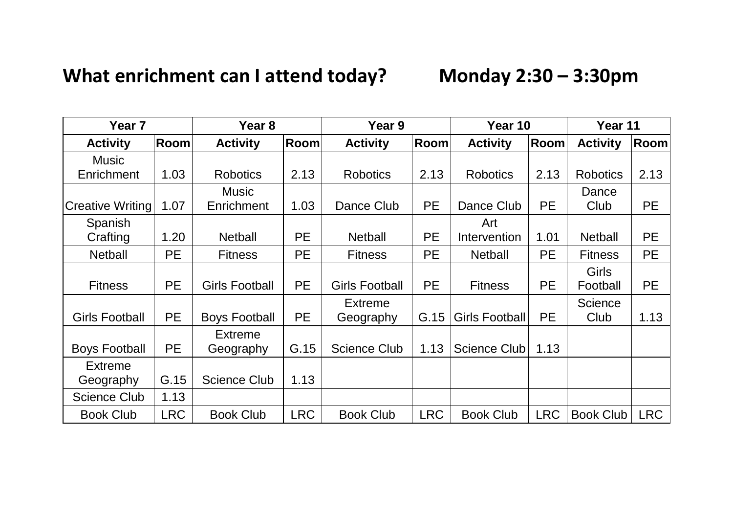| Year <sub>7</sub>       |                             |                       |             | Year 9                |             | Year 10               |            | Year 11          |            |
|-------------------------|-----------------------------|-----------------------|-------------|-----------------------|-------------|-----------------------|------------|------------------|------------|
| <b>Activity</b>         | Room                        | <b>Activity</b>       | <b>Room</b> | <b>Activity</b>       | <b>Room</b> | <b>Activity</b>       | Room       | <b>Activity</b>  | Room       |
| <b>Music</b>            |                             |                       |             |                       |             |                       |            |                  |            |
| Enrichment<br>1.03      |                             | <b>Robotics</b>       | 2.13        | <b>Robotics</b>       | 2.13        | <b>Robotics</b>       | 2.13       | <b>Robotics</b>  | 2.13       |
|                         |                             | <b>Music</b>          |             |                       |             |                       |            | Dance            |            |
| <b>Creative Writing</b> | 1.07                        | Enrichment            | 1.03        | Dance Club            | <b>PE</b>   | Dance Club            | <b>PE</b>  | Club             | <b>PE</b>  |
| Spanish                 |                             |                       |             |                       |             | Art                   |            |                  |            |
| Crafting                | 1.20                        | <b>Netball</b>        | <b>PE</b>   | <b>Netball</b>        | <b>PE</b>   | Intervention          | 1.01       | <b>Netball</b>   | <b>PE</b>  |
| <b>Netball</b>          | <b>PE</b><br><b>Fitness</b> |                       | <b>PE</b>   | <b>Fitness</b>        | <b>PE</b>   | <b>Netball</b>        | <b>PE</b>  | <b>Fitness</b>   | <b>PE</b>  |
|                         |                             |                       |             |                       |             |                       |            | Girls            |            |
| <b>Fitness</b>          | <b>PE</b>                   | <b>Girls Football</b> | PE          | <b>Girls Football</b> | <b>PE</b>   | <b>Fitness</b>        | PE         | Football         | <b>PE</b>  |
|                         |                             |                       |             | <b>Extreme</b>        |             |                       |            | <b>Science</b>   |            |
| <b>Girls Football</b>   | <b>PE</b>                   | <b>Boys Football</b>  | PE          | Geography             | G.15        | <b>Girls Football</b> | <b>PE</b>  | Club             | 1.13       |
|                         |                             | <b>Extreme</b>        |             |                       |             |                       |            |                  |            |
| <b>Boys Football</b>    | <b>PE</b>                   | Geography             | G.15        | <b>Science Club</b>   | 1.13        | <b>Science Club</b>   | 1.13       |                  |            |
| <b>Extreme</b>          |                             |                       |             |                       |             |                       |            |                  |            |
| Geography               | G.15                        | <b>Science Club</b>   | 1.13        |                       |             |                       |            |                  |            |
| <b>Science Club</b>     | 1.13                        |                       |             |                       |             |                       |            |                  |            |
| <b>Book Club</b>        | <b>LRC</b>                  | <b>Book Club</b>      | <b>LRC</b>  | <b>Book Club</b>      | <b>LRC</b>  | <b>Book Club</b>      | <b>LRC</b> | <b>Book Club</b> | <b>LRC</b> |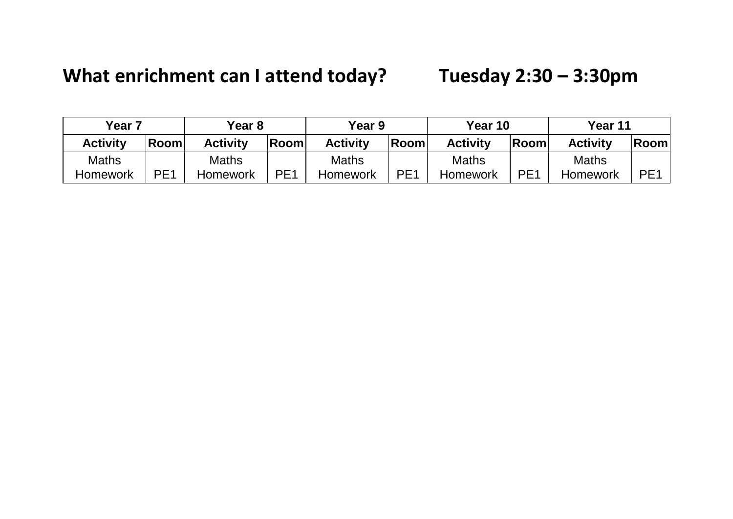| Year <sub>7</sub> |      | Year 8          |                 | Year 9          |                 | Year 10         |                 | Year 11         |                 |
|-------------------|------|-----------------|-----------------|-----------------|-----------------|-----------------|-----------------|-----------------|-----------------|
| <b>Activity</b>   | Room | <b>Activity</b> | ∣Rooml          | <b>Activity</b> | Room            | <b>Activity</b> | <b>Room</b>     | <b>Activity</b> | Room            |
| <b>Maths</b>      |      | Maths           |                 | Maths           |                 | <b>Maths</b>    |                 | <b>Maths</b>    |                 |
| Homework          | PE1  | Homework        | PE <sub>1</sub> | Homework        | PE <sub>1</sub> | Homework        | PF <sub>1</sub> | Homework        | PE <sup>1</sup> |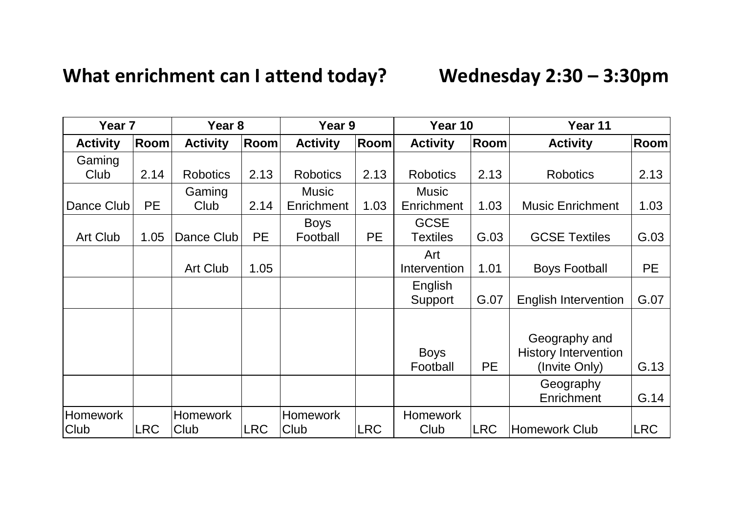| Year <sub>7</sub>       |            | Year <sub>8</sub>              |             | Year <sub>9</sub>          |            | Year 10                        |            | Year 11                                                       |            |
|-------------------------|------------|--------------------------------|-------------|----------------------------|------------|--------------------------------|------------|---------------------------------------------------------------|------------|
| <b>Activity</b>         | Room       | <b>Activity</b>                | <b>Room</b> | <b>Activity</b>            | Room       | <b>Activity</b>                | Room       | <b>Activity</b>                                               | Room       |
| Gaming<br>Club          | 2.14       | <b>Robotics</b>                | 2.13        | <b>Robotics</b>            | 2.13       | <b>Robotics</b>                | 2.13       | <b>Robotics</b>                                               | 2.13       |
| Dance Club              | <b>PE</b>  | Gaming<br>Club                 | 2.14        | <b>Music</b><br>Enrichment | 1.03       | <b>Music</b><br>Enrichment     | 1.03       | <b>Music Enrichment</b>                                       | 1.03       |
| <b>Art Club</b>         | 1.05       | Dance Club                     | <b>PE</b>   | <b>Boys</b><br>Football    | <b>PE</b>  | <b>GCSE</b><br><b>Textiles</b> | G.03       | <b>GCSE Textiles</b>                                          | G.03       |
|                         |            | <b>Art Club</b>                | 1.05        |                            |            | Art<br>Intervention            | 1.01       | <b>Boys Football</b>                                          | <b>PE</b>  |
|                         |            |                                |             |                            |            | English<br>Support             | G.07       | <b>English Intervention</b>                                   | G.07       |
|                         |            |                                |             |                            |            | <b>Boys</b><br>Football        | <b>PE</b>  | Geography and<br><b>History Intervention</b><br>(Invite Only) | G.13       |
|                         |            |                                |             |                            |            |                                |            | Geography<br>Enrichment                                       | G.14       |
| <b>Homework</b><br>Club | <b>LRC</b> | <b>Homework</b><br><b>Club</b> | LRC         | <b>Homework</b><br>Club    | <b>LRC</b> | <b>Homework</b><br>Club        | <b>LRC</b> | Homework Club                                                 | <b>LRC</b> |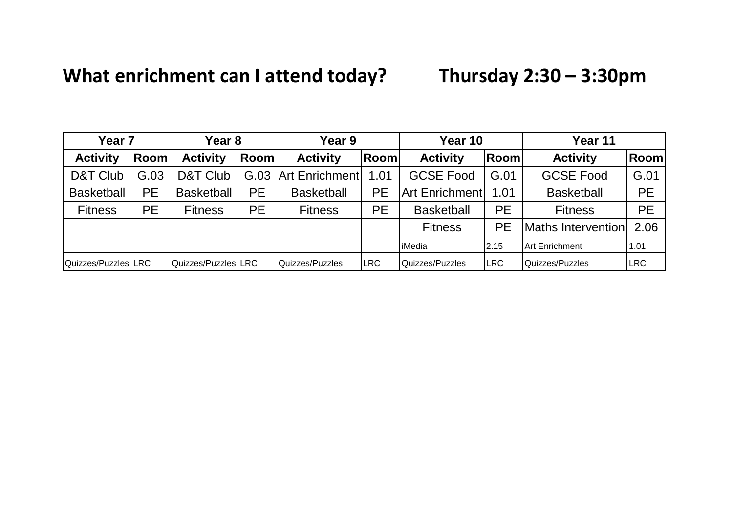| Year <sub>7</sub>   |      | Year <sub>8</sub>     |           | Year <sub>9</sub>     |           | Year 10               |            | Year 11               |             |
|---------------------|------|-----------------------|-----------|-----------------------|-----------|-----------------------|------------|-----------------------|-------------|
| <b>Activity</b>     | Room | <b>Activity</b>       | ∣Room∣    | <b>Activity</b>       | ∣Room ∣   | <b>Activity</b>       | ∣Room∣     | <b>Activity</b>       | <b>Room</b> |
| D&T Club            | G.03 | D&T Club              | G.03      | <b>Art Enrichment</b> | 1.01      | <b>GCSE Food</b>      | G.01       | <b>GCSE Food</b>      | G.01        |
| <b>Basketball</b>   | PE   | <b>Basketball</b>     | <b>PE</b> | <b>Basketball</b>     | <b>PE</b> | <b>Art Enrichment</b> | 1.01       | <b>Basketball</b>     | <b>PE</b>   |
| <b>Fitness</b>      | PE   | <b>Fitness</b>        | <b>PE</b> | <b>Fitness</b>        | <b>PE</b> | <b>Basketball</b>     | <b>PE</b>  | <b>Fitness</b>        | <b>PE</b>   |
|                     |      |                       |           |                       |           | <b>Fitness</b>        | PЕ         | Maths Intervention    | 2.06        |
|                     |      |                       |           |                       |           | iMedia                | 2.15       | <b>Art Enrichment</b> | 1.01        |
| Quizzes/Puzzles LRC |      | Quizzes/Puzzles   LRC |           | Quizzes/Puzzles       | LRC       | Quizzes/Puzzles       | <b>LRC</b> | Quizzes/Puzzles       | <b>LRC</b>  |